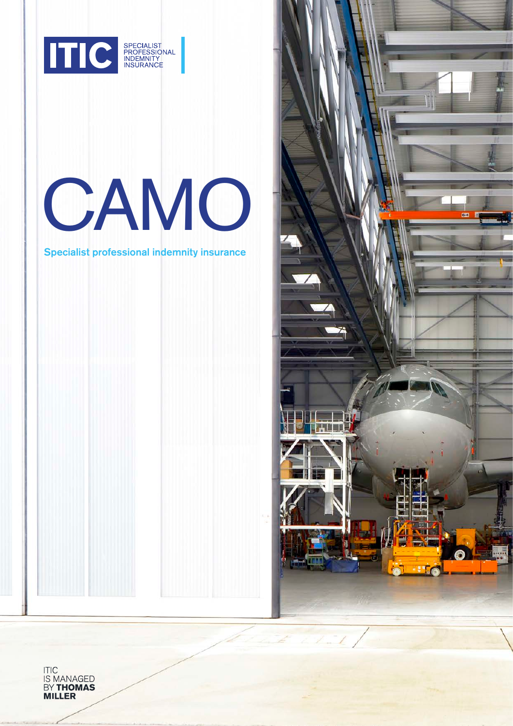

# CAMO

Specialist professional indemnity insurance



ITIC<br>IS MANAGED<br>BY **THOMAS**<br>**MILLER**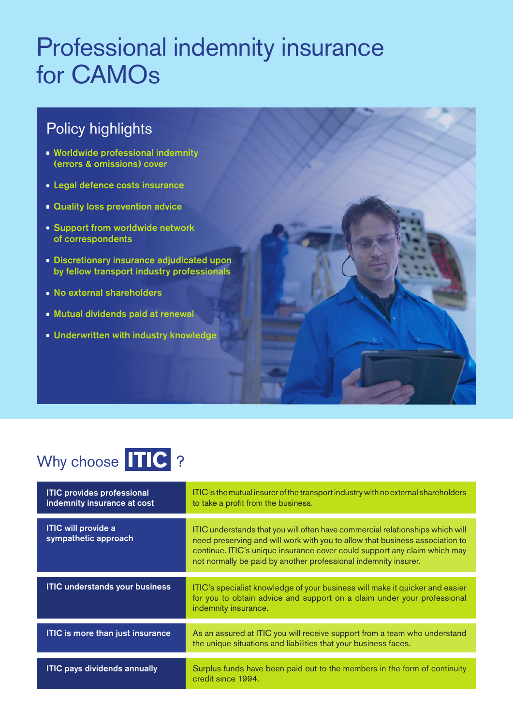# Professional indemnity insurance for CAMOs

## Policy highlights

- **Worldwide professional indemnity** (errors & omissions) cover
- **Legal defence costs insurance**
- **Quality loss prevention advice**
- **Support from worldwide network** of correspondents
- **Discretionary insurance adjudicated upon** by fellow transport industry professionals
- **No external shareholders**
- Mutual dividends paid at renewal
- **Underwritten with industry knowledge**

## Why choose **TIC** ?

| <b>ITIC provides professional</b><br>indemnity insurance at cost | ITIC is the mutual insurer of the transport industry with no external shareholders<br>to take a profit from the business.                                                                                                                                                                                     |
|------------------------------------------------------------------|---------------------------------------------------------------------------------------------------------------------------------------------------------------------------------------------------------------------------------------------------------------------------------------------------------------|
| <b>ITIC</b> will provide a<br>sympathetic approach               | ITIC understands that you will often have commercial relationships which will<br>need preserving and will work with you to allow that business association to<br>continue. ITIC's unique insurance cover could support any claim which may<br>not normally be paid by another professional indemnity insurer. |
| <b>ITIC understands your business</b>                            | ITIC's specialist knowledge of your business will make it quicker and easier<br>for you to obtain advice and support on a claim under your professional<br>indemnity insurance.                                                                                                                               |
| <b>ITIC is more than just insurance</b>                          | As an assured at ITIC you will receive support from a team who understand<br>the unique situations and liabilities that your business faces.                                                                                                                                                                  |
| <b>ITIC pays dividends annually</b>                              | Surplus funds have been paid out to the members in the form of continuity<br>credit since 1994.                                                                                                                                                                                                               |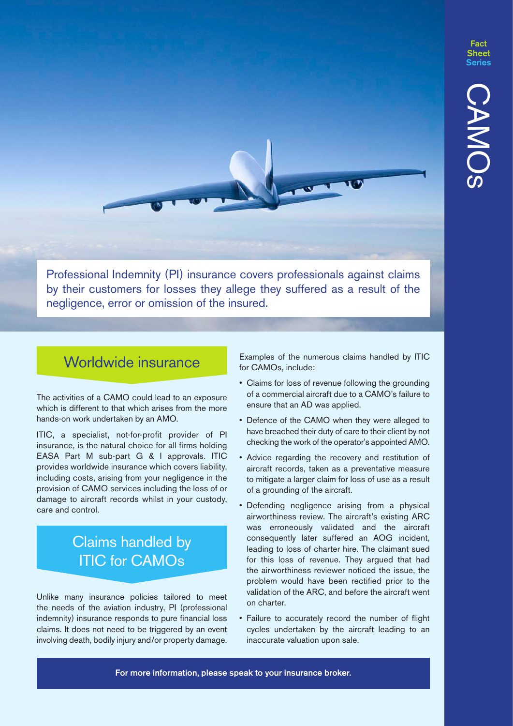**Fact** 

Professional Indemnity (PI) insurance covers professionals against claims by their customers for losses they allege they suffered as a result of the negligence, error or omission of the insured.

### Worldwide insurance

The activities of a CAMO could lead to an exposure which is different to that which arises from the more hands-on work undertaken by an AMO.

ITIC, a specialist, not-for-profit provider of PI insurance, is the natural choice for all firms holding EASA Part M sub-part G & I approvals. ITIC provides worldwide insurance which covers liability, including costs, arising from your negligence in the provision of CAMO services including the loss of or damage to aircraft records whilst in your custody, care and control.

## Claims handled by ITIC for CAMOs

Unlike many insurance policies tailored to meet the needs of the aviation industry, PI (professional indemnity) insurance responds to pure financial loss claims. It does not need to be triggered by an event involving death, bodily injury and/or property damage.

Examples of the numerous claims handled by ITIC for CAMOs, include:

- Claims for loss of revenue following the grounding of a commercial aircraft due to a CAMO's failure to ensure that an AD was applied.
- Defence of the CAMO when they were alleged to have breached their duty of care to their client by not checking the work of the operator's appointed AMO.
- Advice regarding the recovery and restitution of aircraft records, taken as a preventative measure to mitigate a larger claim for loss of use as a result of a grounding of the aircraft.
- Defending negligence arising from a physical airworthiness review. The aircraft's existing ARC was erroneously validated and the aircraft consequently later suffered an AOG incident, leading to loss of charter hire. The claimant sued for this loss of revenue. They argued that had the airworthiness reviewer noticed the issue, the problem would have been rectified prior to the validation of the ARC, and before the aircraft went on charter.
- Failure to accurately record the number of flight cycles undertaken by the aircraft leading to an inaccurate valuation upon sale.

For more information, please speak to your insurance broker.